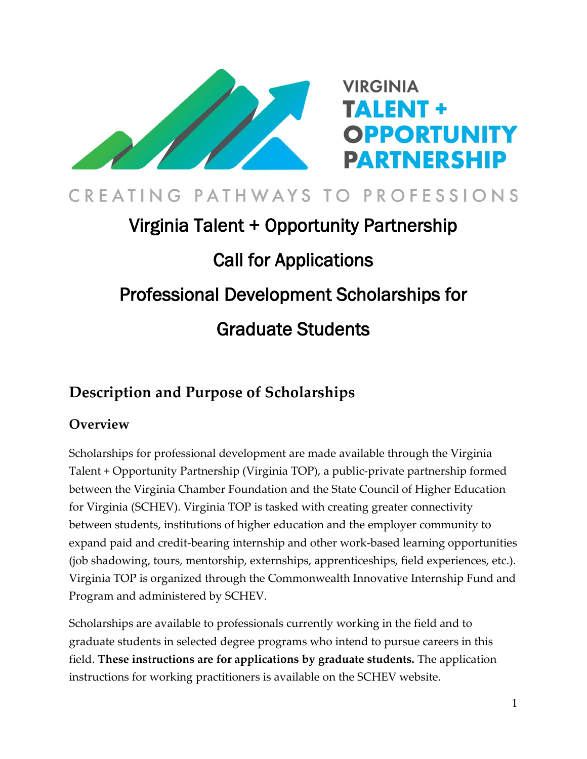

## CREATING PATHWAYS TO PROFESSIONS

# Virginia Talent + Opportunity Partnership Call for Applications Professional Development Scholarships for Graduate Students

## **Description and Purpose of Scholarships**

#### **Overview**

Scholarships for professional development are made available through the Virginia Talent + Opportunity Partnership (Virginia TOP), a public-private partnership formed between the Virginia Chamber Foundation and the State Council of Higher Education for Virginia (SCHEV). Virginia TOP is tasked with creating greater connectivity between students, institutions of higher education and the employer community to expand paid and credit-bearing internship and other work-based learning opportunities (job shadowing, tours, mentorship, externships, apprenticeships, field experiences, etc.). Virginia TOP is organized through the Commonwealth Innovative Internship Fund and Program and administered by SCHEV.

Scholarships are available to professionals currently working in the field and to graduate students in selected degree programs who intend to pursue careers in this field. **These instructions are for applications by graduate students.** The application instructions for working practitioners is available on the SCHEV website.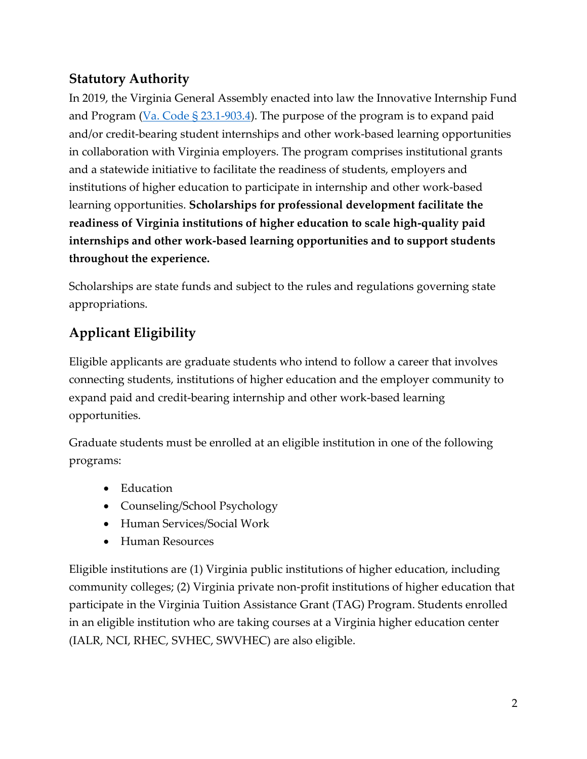#### **Statutory Authority**

In 2019, the Virginia General Assembly enacted into law the Innovative Internship Fund and Program (Va. Code  $\S 23.1-903.4$ ). The purpose of the program is to expand paid and/or credit-bearing student internships and other work-based learning opportunities in collaboration with Virginia employers. The program comprises institutional grants and a statewide initiative to facilitate the readiness of students, employers and institutions of higher education to participate in internship and other work-based learning opportunities. **Scholarships for professional development facilitate the readiness of Virginia institutions of higher education to scale high-quality paid internships and other work-based learning opportunities and to support students throughout the experience.**

Scholarships are state funds and subject to the rules and regulations governing state appropriations.

## **Applicant Eligibility**

Eligible applicants are graduate students who intend to follow a career that involves connecting students, institutions of higher education and the employer community to expand paid and credit-bearing internship and other work-based learning opportunities.

Graduate students must be enrolled at an eligible institution in one of the following programs:

- Education
- Counseling/School Psychology
- Human Services/Social Work
- Human Resources

Eligible institutions are (1) Virginia public institutions of higher education, including community colleges; (2) Virginia private non-profit institutions of higher education that participate in the Virginia Tuition Assistance Grant (TAG) Program. Students enrolled in an eligible institution who are taking courses at a Virginia higher education center (IALR, NCI, RHEC, SVHEC, SWVHEC) are also eligible.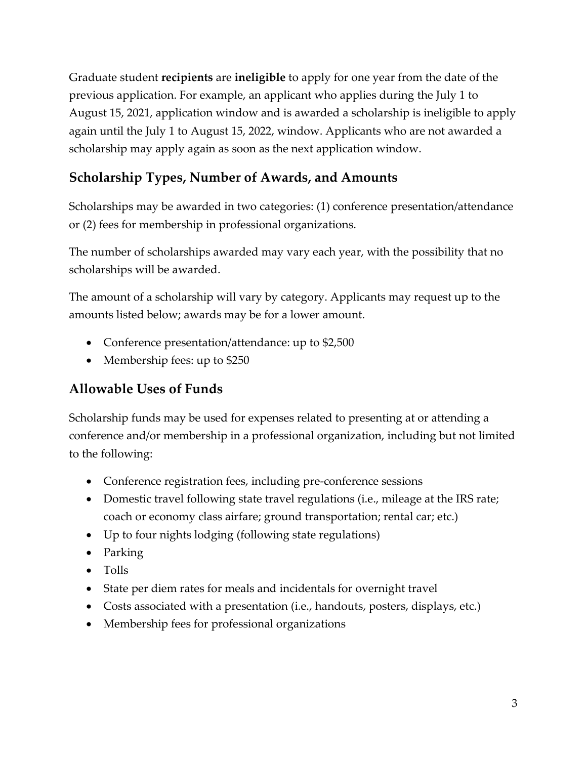Graduate student **recipients** are **ineligible** to apply for one year from the date of the previous application. For example, an applicant who applies during the July 1 to August 15, 2021, application window and is awarded a scholarship is ineligible to apply again until the July 1 to August 15, 2022, window. Applicants who are not awarded a scholarship may apply again as soon as the next application window.

## **Scholarship Types, Number of Awards, and Amounts**

Scholarships may be awarded in two categories: (1) conference presentation/attendance or (2) fees for membership in professional organizations.

The number of scholarships awarded may vary each year, with the possibility that no scholarships will be awarded.

The amount of a scholarship will vary by category. Applicants may request up to the amounts listed below; awards may be for a lower amount.

- Conference presentation/attendance: up to \$2,500
- Membership fees: up to \$250

## **Allowable Uses of Funds**

Scholarship funds may be used for expenses related to presenting at or attending a conference and/or membership in a professional organization, including but not limited to the following:

- Conference registration fees, including pre-conference sessions
- Domestic travel following state travel regulations (i.e., mileage at the IRS rate; coach or economy class airfare; ground transportation; rental car; etc.)
- Up to four nights lodging (following state regulations)
- Parking
- Tolls
- State per diem rates for meals and incidentals for overnight travel
- Costs associated with a presentation (i.e., handouts, posters, displays, etc.)
- Membership fees for professional organizations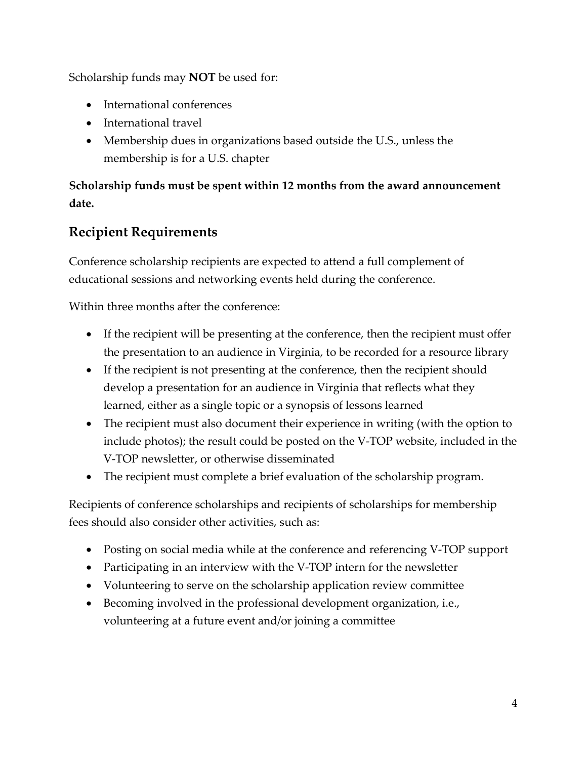Scholarship funds may **NOT** be used for:

- International conferences
- International travel
- Membership dues in organizations based outside the U.S., unless the membership is for a U.S. chapter

#### **Scholarship funds must be spent within 12 months from the award announcement date.**

## **Recipient Requirements**

Conference scholarship recipients are expected to attend a full complement of educational sessions and networking events held during the conference.

Within three months after the conference:

- If the recipient will be presenting at the conference, then the recipient must offer the presentation to an audience in Virginia, to be recorded for a resource library
- If the recipient is not presenting at the conference, then the recipient should develop a presentation for an audience in Virginia that reflects what they learned, either as a single topic or a synopsis of lessons learned
- The recipient must also document their experience in writing (with the option to include photos); the result could be posted on the V-TOP website, included in the V-TOP newsletter, or otherwise disseminated
- The recipient must complete a brief evaluation of the scholarship program.

Recipients of conference scholarships and recipients of scholarships for membership fees should also consider other activities, such as:

- Posting on social media while at the conference and referencing V-TOP support
- Participating in an interview with the V-TOP intern for the newsletter
- Volunteering to serve on the scholarship application review committee
- Becoming involved in the professional development organization, i.e., volunteering at a future event and/or joining a committee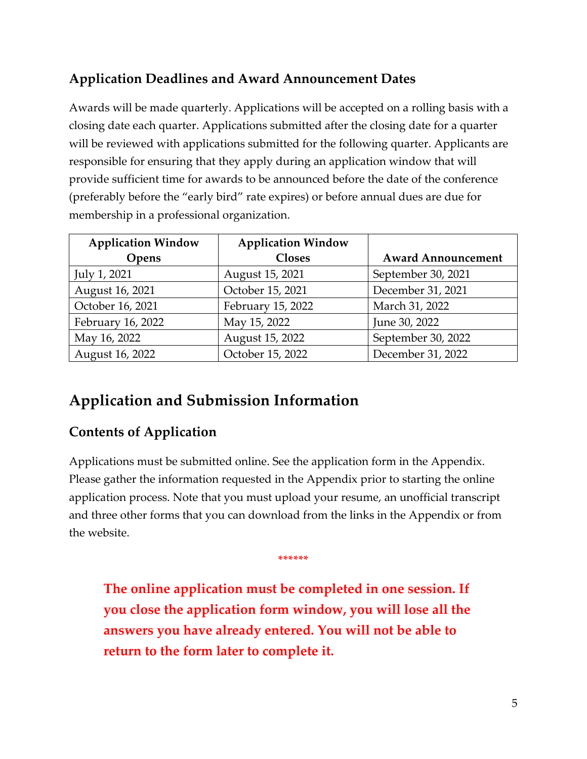## **Application Deadlines and Award Announcement Dates**

Awards will be made quarterly. Applications will be accepted on a rolling basis with a closing date each quarter. Applications submitted after the closing date for a quarter will be reviewed with applications submitted for the following quarter. Applicants are responsible for ensuring that they apply during an application window that will provide sufficient time for awards to be announced before the date of the conference (preferably before the "early bird" rate expires) or before annual dues are due for membership in a professional organization.

| <b>Application Window</b> | <b>Application Window</b> |                           |
|---------------------------|---------------------------|---------------------------|
| Opens                     | <b>Closes</b>             | <b>Award Announcement</b> |
| July 1, 2021              | August 15, 2021           | September 30, 2021        |
| August 16, 2021           | October 15, 2021          | December 31, 2021         |
| October 16, 2021          | February 15, 2022         | March 31, 2022            |
| February 16, 2022         | May 15, 2022              | June 30, 2022             |
| May 16, 2022              | August 15, 2022           | September 30, 2022        |
| August 16, 2022           | October 15, 2022          | December 31, 2022         |

## **Application and Submission Information**

#### **Contents of Application**

Applications must be submitted online. See the application form in the Appendix. Please gather the information requested in the Appendix prior to starting the online application process. Note that you must upload your resume, an unofficial transcript and three other forms that you can download from the links in the Appendix or from the website.

**The online application must be completed in one session. If you close the application form window, you will lose all the answers you have already entered. You will not be able to return to the form later to complete it.**

**\*\*\*\*\*\***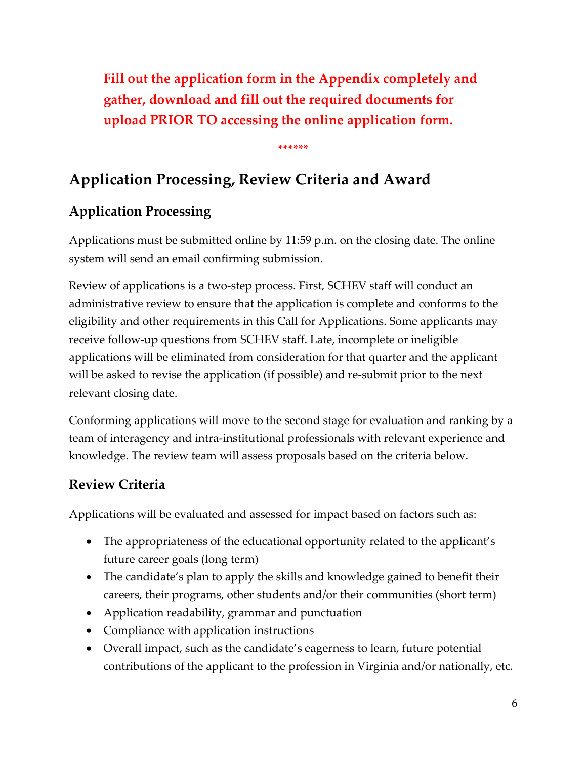**Fill out the application form in the Appendix completely and gather, download and fill out the required documents for upload PRIOR TO accessing the online application form.**

**\*\*\*\*\*\***

## **Application Processing, Review Criteria and Award**

## **Application Processing**

Applications must be submitted online by 11:59 p.m. on the closing date. The online system will send an email confirming submission.

Review of applications is a two-step process. First, SCHEV staff will conduct an administrative review to ensure that the application is complete and conforms to the eligibility and other requirements in this Call for Applications. Some applicants may receive follow-up questions from SCHEV staff. Late, incomplete or ineligible applications will be eliminated from consideration for that quarter and the applicant will be asked to revise the application (if possible) and re-submit prior to the next relevant closing date.

Conforming applications will move to the second stage for evaluation and ranking by a team of interagency and intra-institutional professionals with relevant experience and knowledge. The review team will assess proposals based on the criteria below.

## **Review Criteria**

Applications will be evaluated and assessed for impact based on factors such as:

- The appropriateness of the educational opportunity related to the applicant's future career goals (long term)
- The candidate's plan to apply the skills and knowledge gained to benefit their careers, their programs, other students and/or their communities (short term)
- Application readability, grammar and punctuation
- Compliance with application instructions
- Overall impact, such as the candidate's eagerness to learn, future potential contributions of the applicant to the profession in Virginia and/or nationally, etc.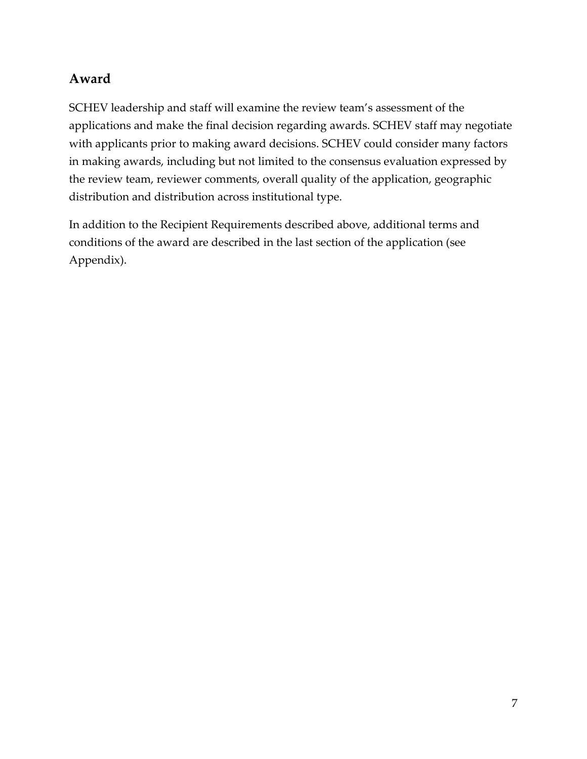#### **Award**

SCHEV leadership and staff will examine the review team's assessment of the applications and make the final decision regarding awards. SCHEV staff may negotiate with applicants prior to making award decisions. SCHEV could consider many factors in making awards, including but not limited to the consensus evaluation expressed by the review team, reviewer comments, overall quality of the application, geographic distribution and distribution across institutional type.

In addition to the Recipient Requirements described above, additional terms and conditions of the award are described in the last section of the application (see Appendix).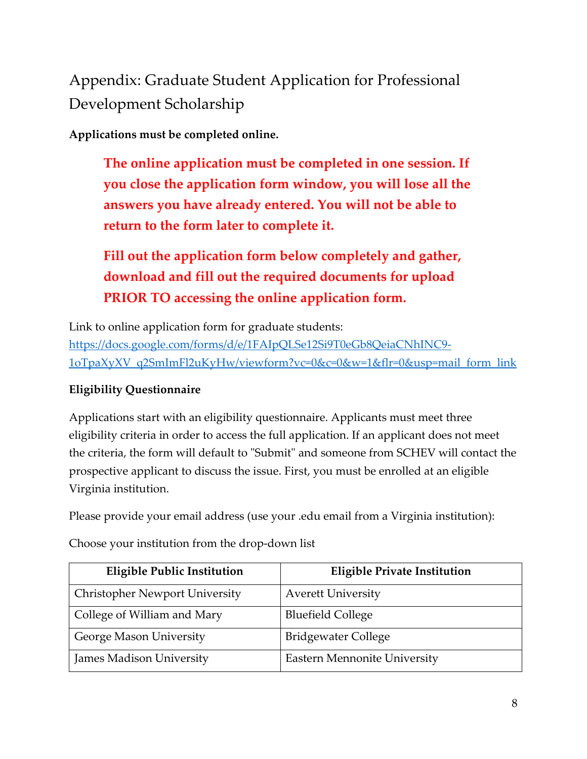Appendix: Graduate Student Application for Professional Development Scholarship

**Applications must be completed online.**

**The online application must be completed in one session. If you close the application form window, you will lose all the answers you have already entered. You will not be able to return to the form later to complete it.**

**Fill out the application form below completely and gather, download and fill out the required documents for upload PRIOR TO accessing the online application form.**

Link to online application form for graduate students: [https://docs.google.com/forms/d/e/1FAIpQLSe12Si9T0eGb8QeiaCNhINC9-](https://docs.google.com/forms/d/e/1FAIpQLSe12Si9T0eGb8QeiaCNhINC9-1oTpaXyXV_q2SmImFl2uKyHw/viewform?vc=0&c=0&w=1&flr=0&usp=mail_form_link) [1oTpaXyXV\\_q2SmImFl2uKyHw/viewform?vc=0&c=0&w=1&flr=0&usp=mail\\_form\\_link](https://docs.google.com/forms/d/e/1FAIpQLSe12Si9T0eGb8QeiaCNhINC9-1oTpaXyXV_q2SmImFl2uKyHw/viewform?vc=0&c=0&w=1&flr=0&usp=mail_form_link)

#### **Eligibility Questionnaire**

Applications start with an eligibility questionnaire. Applicants must meet three eligibility criteria in order to access the full application. If an applicant does not meet the criteria, the form will default to "Submit" and someone from SCHEV will contact the prospective applicant to discuss the issue. First, you must be enrolled at an eligible Virginia institution.

Please provide your email address (use your .edu email from a Virginia institution):

Choose your institution from the drop-down list

| <b>Eligible Public Institution</b>    | <b>Eligible Private Institution</b> |
|---------------------------------------|-------------------------------------|
| <b>Christopher Newport University</b> | <b>Averett University</b>           |
| College of William and Mary           | <b>Bluefield College</b>            |
| George Mason University               | <b>Bridgewater College</b>          |
| James Madison University              | <b>Eastern Mennonite University</b> |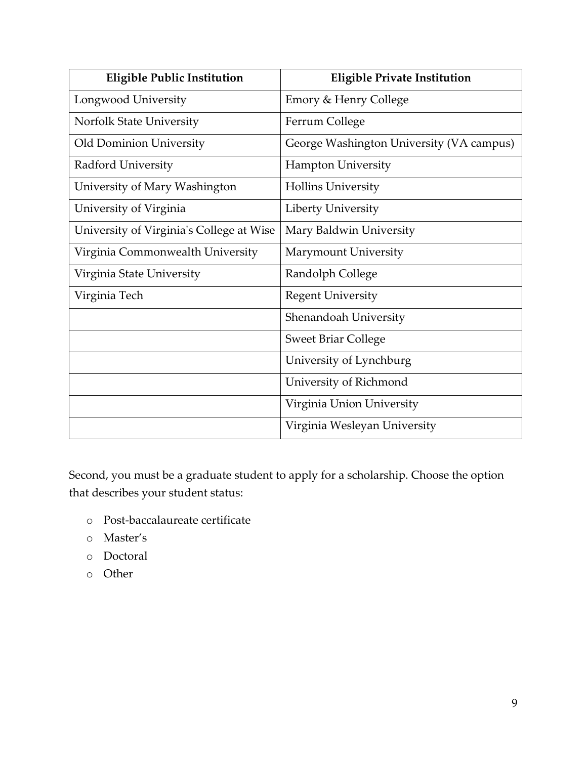| <b>Eligible Public Institution</b>       | <b>Eligible Private Institution</b>      |
|------------------------------------------|------------------------------------------|
| Longwood University                      | Emory & Henry College                    |
| Norfolk State University                 | Ferrum College                           |
| Old Dominion University                  | George Washington University (VA campus) |
| <b>Radford University</b>                | <b>Hampton University</b>                |
| University of Mary Washington            | <b>Hollins University</b>                |
| University of Virginia                   | Liberty University                       |
| University of Virginia's College at Wise | Mary Baldwin University                  |
| Virginia Commonwealth University         | Marymount University                     |
| Virginia State University                | Randolph College                         |
| Virginia Tech                            | <b>Regent University</b>                 |
|                                          | Shenandoah University                    |
|                                          | <b>Sweet Briar College</b>               |
|                                          | University of Lynchburg                  |
|                                          | University of Richmond                   |
|                                          | Virginia Union University                |
|                                          | Virginia Wesleyan University             |

Second, you must be a graduate student to apply for a scholarship. Choose the option that describes your student status:

- o Post-baccalaureate certificate
- o Master's
- o Doctoral
- o Other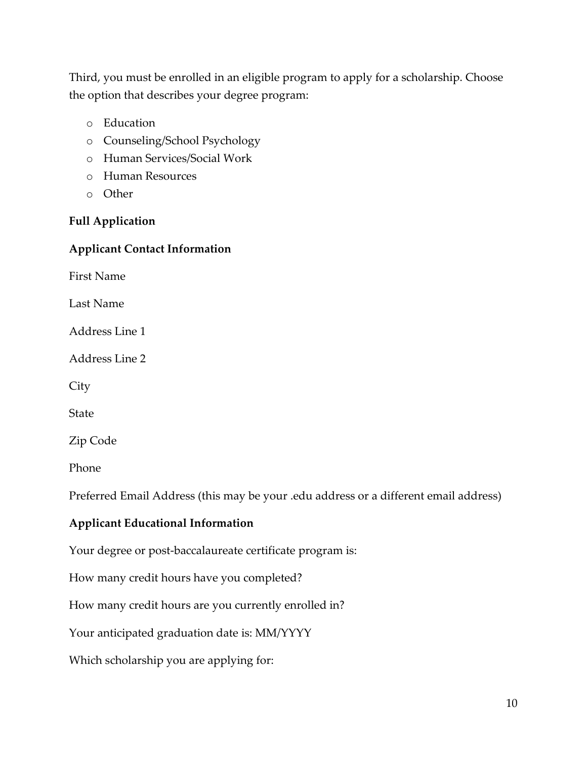Third, you must be enrolled in an eligible program to apply for a scholarship. Choose the option that describes your degree program:

- o Education
- o Counseling/School Psychology
- o Human Services/Social Work
- o Human Resources
- o Other

#### **Full Application**

#### **Applicant Contact Information**

First Name

Last Name

Address Line 1

Address Line 2

**City** 

State

Zip Code

Phone

Preferred Email Address (this may be your .edu address or a different email address)

#### **Applicant Educational Information**

Your degree or post-baccalaureate certificate program is:

How many credit hours have you completed?

How many credit hours are you currently enrolled in?

Your anticipated graduation date is: MM/YYYY

Which scholarship you are applying for: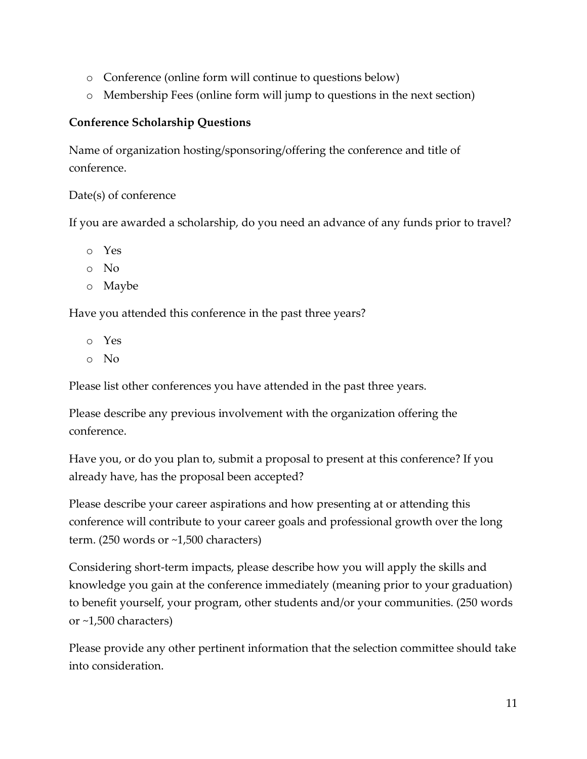- o Conference (online form will continue to questions below)
- o Membership Fees (online form will jump to questions in the next section)

#### **Conference Scholarship Questions**

Name of organization hosting/sponsoring/offering the conference and title of conference.

#### Date(s) of conference

If you are awarded a scholarship, do you need an advance of any funds prior to travel?

- o Yes
- o No
- o Maybe

Have you attended this conference in the past three years?

- o Yes
- o No

Please list other conferences you have attended in the past three years.

Please describe any previous involvement with the organization offering the conference.

Have you, or do you plan to, submit a proposal to present at this conference? If you already have, has the proposal been accepted?

Please describe your career aspirations and how presenting at or attending this conference will contribute to your career goals and professional growth over the long term. (250 words or ~1,500 characters)

Considering short-term impacts, please describe how you will apply the skills and knowledge you gain at the conference immediately (meaning prior to your graduation) to benefit yourself, your program, other students and/or your communities. (250 words or ~1,500 characters)

Please provide any other pertinent information that the selection committee should take into consideration.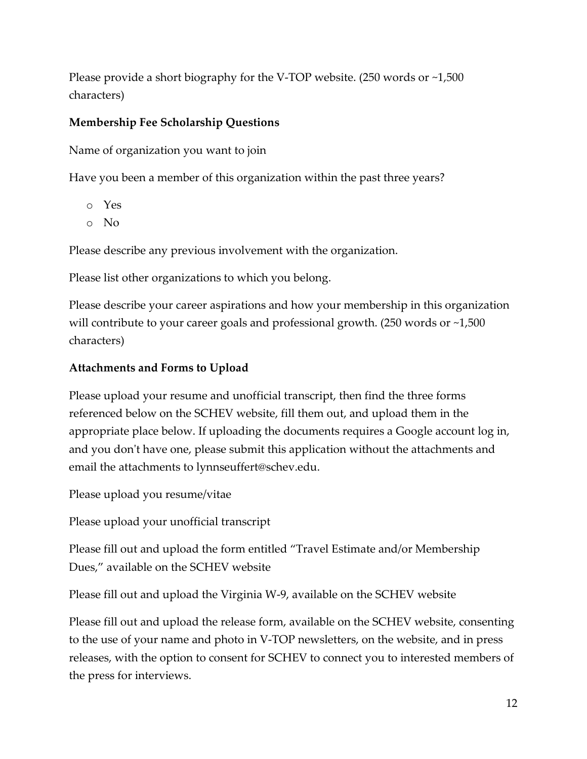Please provide a short biography for the V-TOP website. (250 words or ~1,500 characters)

#### **Membership Fee Scholarship Questions**

Name of organization you want to join

Have you been a member of this organization within the past three years?

- o Yes
- o No

Please describe any previous involvement with the organization.

Please list other organizations to which you belong.

Please describe your career aspirations and how your membership in this organization will contribute to your career goals and professional growth. (250 words or ~1,500 characters)

#### **Attachments and Forms to Upload**

Please upload your resume and unofficial transcript, then find the three forms referenced below on the SCHEV website, fill them out, and upload them in the appropriate place below. If uploading the documents requires a Google account log in, and you don't have one, please submit this application without the attachments and email the attachments to lynnseuffert@schev.edu.

Please upload you resume/vitae

Please upload your unofficial transcript

Please fill out and upload the form entitled "Travel Estimate and/or Membership Dues," available on the SCHEV website

Please fill out and upload the Virginia W-9, available on the SCHEV website

Please fill out and upload the release form, available on the SCHEV website, consenting to the use of your name and photo in V-TOP newsletters, on the website, and in press releases, with the option to consent for SCHEV to connect you to interested members of the press for interviews.